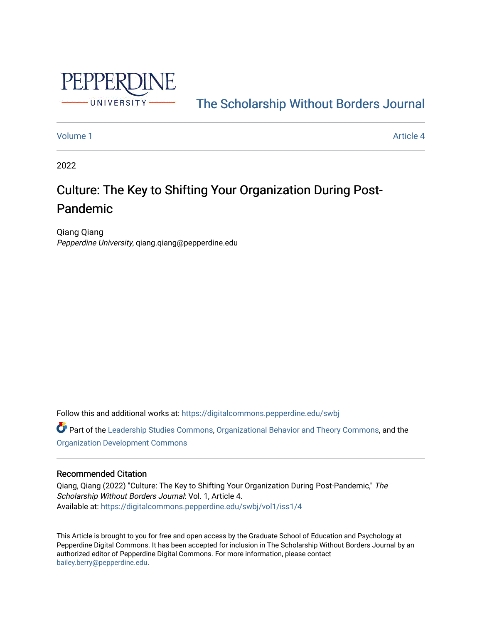

[The Scholarship Without Borders Journal](https://digitalcommons.pepperdine.edu/swbj) 

#### [Volume 1](https://digitalcommons.pepperdine.edu/swbj/vol1) Article 4

2022

# Culture: The Key to Shifting Your Organization During Post-Pandemic

Qiang Qiang Pepperdine University, qiang.qiang@pepperdine.edu

Follow this and additional works at: [https://digitalcommons.pepperdine.edu/swbj](https://digitalcommons.pepperdine.edu/swbj?utm_source=digitalcommons.pepperdine.edu%2Fswbj%2Fvol1%2Fiss1%2F4&utm_medium=PDF&utm_campaign=PDFCoverPages)

Part of the [Leadership Studies Commons,](https://network.bepress.com/hgg/discipline/1250?utm_source=digitalcommons.pepperdine.edu%2Fswbj%2Fvol1%2Fiss1%2F4&utm_medium=PDF&utm_campaign=PDFCoverPages) [Organizational Behavior and Theory Commons,](https://network.bepress.com/hgg/discipline/639?utm_source=digitalcommons.pepperdine.edu%2Fswbj%2Fvol1%2Fiss1%2F4&utm_medium=PDF&utm_campaign=PDFCoverPages) and the [Organization Development Commons](https://network.bepress.com/hgg/discipline/1242?utm_source=digitalcommons.pepperdine.edu%2Fswbj%2Fvol1%2Fiss1%2F4&utm_medium=PDF&utm_campaign=PDFCoverPages) 

# Recommended Citation

Qiang, Qiang (2022) "Culture: The Key to Shifting Your Organization During Post-Pandemic," The Scholarship Without Borders Journal: Vol. 1, Article 4. Available at: [https://digitalcommons.pepperdine.edu/swbj/vol1/iss1/4](https://digitalcommons.pepperdine.edu/swbj/vol1/iss1/4?utm_source=digitalcommons.pepperdine.edu%2Fswbj%2Fvol1%2Fiss1%2F4&utm_medium=PDF&utm_campaign=PDFCoverPages) 

This Article is brought to you for free and open access by the Graduate School of Education and Psychology at Pepperdine Digital Commons. It has been accepted for inclusion in The Scholarship Without Borders Journal by an authorized editor of Pepperdine Digital Commons. For more information, please contact [bailey.berry@pepperdine.edu](mailto:bailey.berry@pepperdine.edu).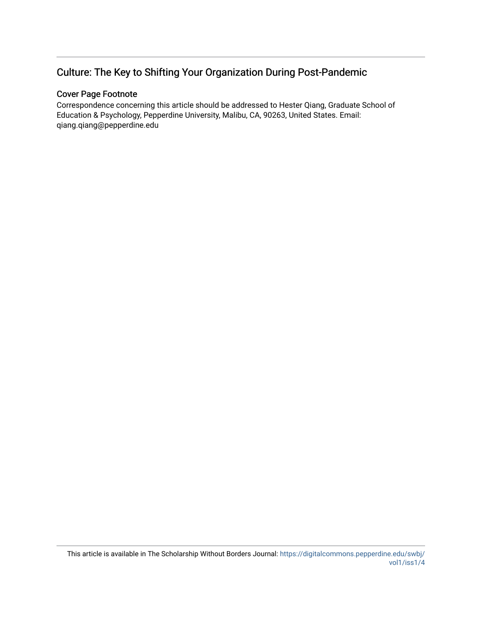# Culture: The Key to Shifting Your Organization During Post-Pandemic

# Cover Page Footnote

Correspondence concerning this article should be addressed to Hester Qiang, Graduate School of Education & Psychology, Pepperdine University, Malibu, CA, 90263, United States. Email: qiang.qiang@pepperdine.edu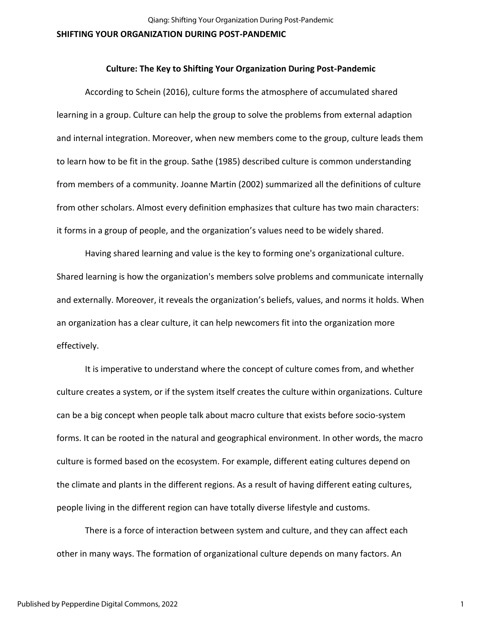#### **Culture: The Key to Shifting Your Organization During Post-Pandemic**

According to Schein (2016), culture forms the atmosphere of accumulated shared learning in a group. Culture can help the group to solve the problems from external adaption and internal integration. Moreover, when new members come to the group, culture leads them to learn how to be fit in the group. Sathe (1985) described culture is common understanding from members of a community. Joanne Martin (2002) summarized all the definitions of culture from other scholars. Almost every definition emphasizes that culture has two main characters: it forms in a group of people, and the organization's values need to be widely shared.

Having shared learning and value is the key to forming one's organizational culture. Shared learning is how the organization's members solve problems and communicate internally and externally. Moreover, it reveals the organization's beliefs, values, and norms it holds. When an organization has a clear culture, it can help newcomers fit into the organization more effectively.

It is imperative to understand where the concept of culture comes from, and whether culture creates a system, or if the system itself creates the culture within organizations. Culture can be a big concept when people talk about macro culture that exists before socio-system forms. It can be rooted in the natural and geographical environment. In other words, the macro culture is formed based on the ecosystem. For example, different eating cultures depend on the climate and plants in the different regions. As a result of having different eating cultures, people living in the different region can have totally diverse lifestyle and customs.

There is a force of interaction between system and culture, and they can affect each other in many ways. The formation of organizational culture depends on many factors. An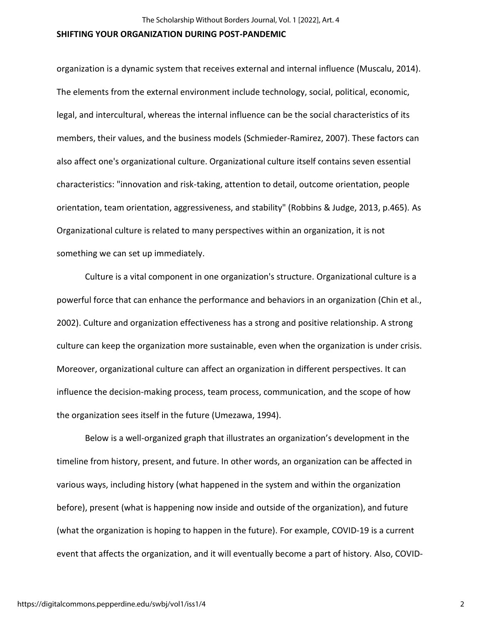organization is a dynamic system that receives external and internal influence (Muscalu, 2014). The elements from the external environment include technology, social, political, economic, legal, and intercultural, whereas the internal influence can be the social characteristics of its members, their values, and the business models (Schmieder-Ramirez, 2007). These factors can also affect one's organizational culture. Organizational culture itself contains seven essential characteristics: "innovation and risk-taking, attention to detail, outcome orientation, people orientation, team orientation, aggressiveness, and stability" (Robbins & Judge, 2013, p.465). As Organizational culture is related to many perspectives within an organization, it is not something we can set up immediately.

Culture is a vital component in one organization's structure. Organizational culture is a powerful force that can enhance the performance and behaviors in an organization (Chin et al., 2002). Culture and organization effectiveness has a strong and positive relationship. A strong culture can keep the organization more sustainable, even when the organization is under crisis. Moreover, organizational culture can affect an organization in different perspectives. It can influence the decision-making process, team process, communication, and the scope of how the organization sees itself in the future (Umezawa, 1994).

Below is a well-organized graph that illustrates an organization's development in the timeline from history, present, and future. In other words, an organization can be affected in various ways, including history (what happened in the system and within the organization before), present (what is happening now inside and outside of the organization), and future (what the organization is hoping to happen in the future). For example, COVID-19 is a current event that affects the organization, and it will eventually become a part of history. Also, COVID-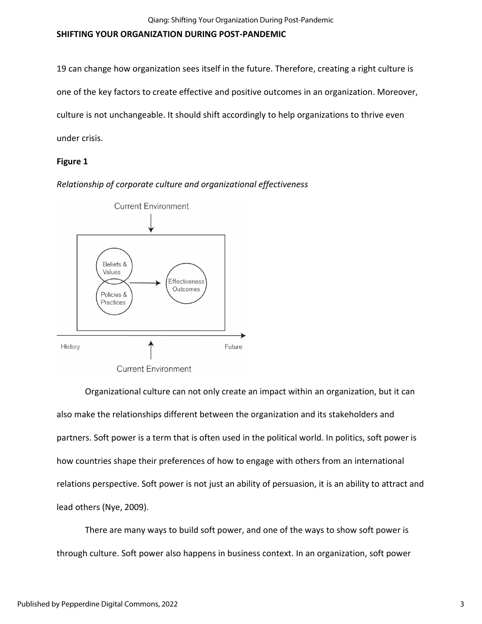19 can change how organization sees itself in the future. Therefore, creating a right culture is one of the key factors to create effective and positive outcomes in an organization. Moreover, culture is not unchangeable. It should shift accordingly to help organizations to thrive even under crisis.

# **Figure 1**

*Relationship of corporate culture and organizational effectiveness*



Organizational culture can not only create an impact within an organization, but it can also make the relationships different between the organization and its stakeholders and partners. Soft power is a term that is often used in the political world. In politics, soft power is how countries shape their preferences of how to engage with others from an international relations perspective. Soft power is not just an ability of persuasion, it is an ability to attract and lead others (Nye, 2009).

There are many ways to build soft power, and one of the ways to show soft power is through culture. Soft power also happens in business context. In an organization, soft power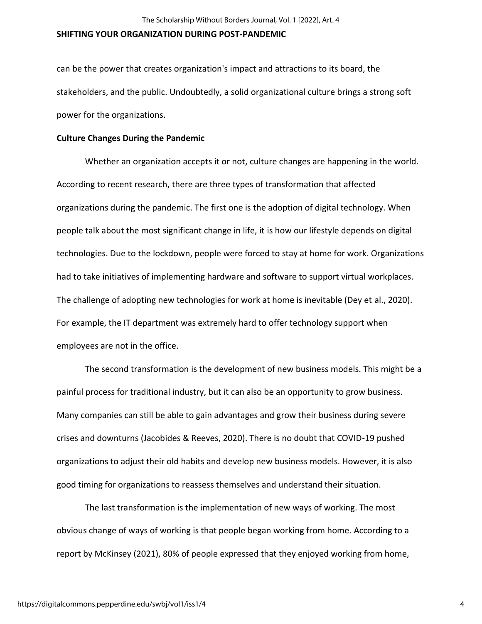can be the power that creates organization's impact and attractions to its board, the stakeholders, and the public. Undoubtedly, a solid organizational culture brings a strong soft power for the organizations.

### **Culture Changes During the Pandemic**

Whether an organization accepts it or not, culture changes are happening in the world. According to recent research, there are three types of transformation that affected organizations during the pandemic. The first one is the adoption of digital technology. When people talk about the most significant change in life, it is how our lifestyle depends on digital technologies. Due to the lockdown, people were forced to stay at home for work. Organizations had to take initiatives of implementing hardware and software to support virtual workplaces. The challenge of adopting new technologies for work at home is inevitable (Dey et al., 2020). For example, the IT department was extremely hard to offer technology support when employees are not in the office.

The second transformation is the development of new business models. This might be a painful process for traditional industry, but it can also be an opportunity to grow business. Many companies can still be able to gain advantages and grow their business during severe crises and downturns (Jacobides & Reeves, 2020). There is no doubt that COVID-19 pushed organizations to adjust their old habits and develop new business models. However, it is also good timing for organizations to reassess themselves and understand their situation.

The last transformation is the implementation of new ways of working. The most obvious change of ways of working is that people began working from home. According to a report by McKinsey (2021), 80% of people expressed that they enjoyed working from home,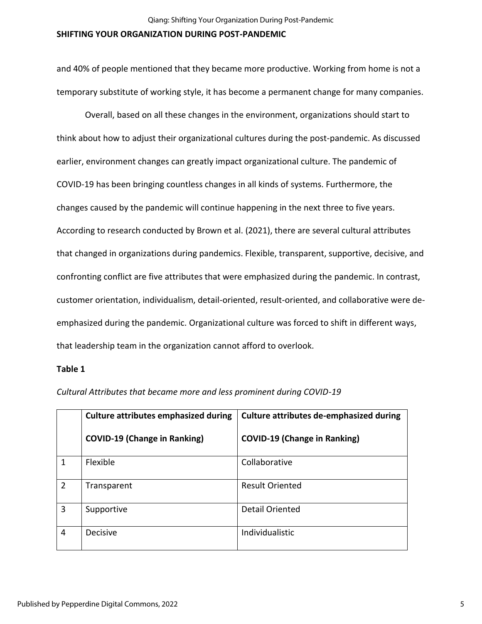and 40% of people mentioned that they became more productive. Working from home is not a temporary substitute of working style, it has become a permanent change for many companies.

Overall, based on all these changes in the environment, organizations should start to think about how to adjust their organizational cultures during the post-pandemic. As discussed earlier, environment changes can greatly impact organizational culture. The pandemic of COVID-19 has been bringing countless changes in all kinds of systems. Furthermore, the changes caused by the pandemic will continue happening in the next three to five years. According to research conducted by Brown et al. (2021), there are several cultural attributes that changed in organizations during pandemics. Flexible, transparent, supportive, decisive, and confronting conflict are five attributes that were emphasized during the pandemic. In contrast, customer orientation, individualism, detail-oriented, result-oriented, and collaborative were deemphasized during the pandemic. Organizational culture was forced to shift in different ways, that leadership team in the organization cannot afford to overlook.

#### **Table 1**

|                | <b>Culture attributes emphasized during</b> | <b>Culture attributes de-emphasized during</b> |
|----------------|---------------------------------------------|------------------------------------------------|
|                | <b>COVID-19 (Change in Ranking)</b>         | <b>COVID-19 (Change in Ranking)</b>            |
| 1              | Flexible                                    | Collaborative                                  |
| $\overline{2}$ | Transparent                                 | <b>Result Oriented</b>                         |
| 3              | Supportive                                  | <b>Detail Oriented</b>                         |
| 4              | <b>Decisive</b>                             | Individualistic                                |

*Cultural Attributes that became more and less prominent during COVID-19*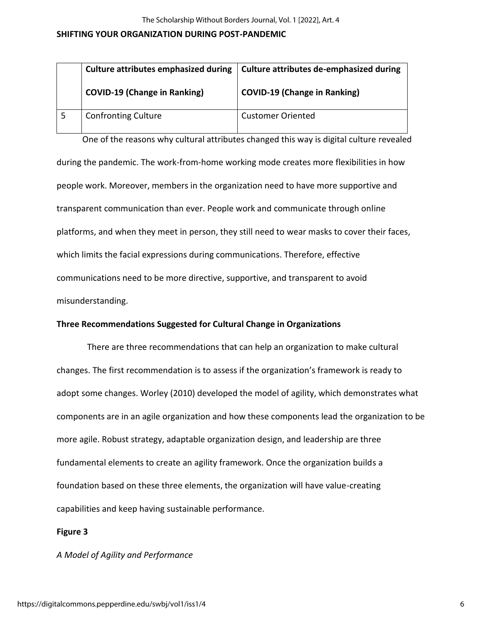| <b>Culture attributes emphasized during</b> | Culture attributes de-emphasized during |
|---------------------------------------------|-----------------------------------------|
| <b>COVID-19 (Change in Ranking)</b>         | <b>COVID-19 (Change in Ranking)</b>     |
| <b>Confronting Culture</b>                  | <b>Customer Oriented</b>                |

 One of the reasons why cultural attributes changed this way is digital culture revealed during the pandemic. The work-from-home working mode creates more flexibilities in how people work. Moreover, members in the organization need to have more supportive and transparent communication than ever. People work and communicate through online platforms, and when they meet in person, they still need to wear masks to cover their faces, which limits the facial expressions during communications. Therefore, effective communications need to be more directive, supportive, and transparent to avoid misunderstanding.

## **Three Recommendations Suggested for Cultural Change in Organizations**

There are three recommendations that can help an organization to make cultural changes. The first recommendation is to assess if the organization's framework is ready to adopt some changes. Worley (2010) developed the model of agility, which demonstrates what components are in an agile organization and how these components lead the organization to be more agile. Robust strategy, adaptable organization design, and leadership are three fundamental elements to create an agility framework. Once the organization builds a foundation based on these three elements, the organization will have value-creating capabilities and keep having sustainable performance.

## **Figure 3**

*A Model of Agility and Performance*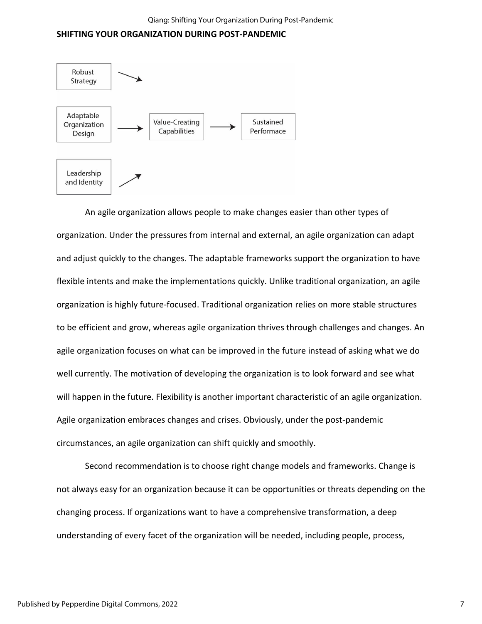

An agile organization allows people to make changes easier than other types of organization. Under the pressures from internal and external, an agile organization can adapt and adjust quickly to the changes. The adaptable frameworks support the organization to have flexible intents and make the implementations quickly. Unlike traditional organization, an agile organization is highly future-focused. Traditional organization relies on more stable structures to be efficient and grow, whereas agile organization thrives through challenges and changes. An agile organization focuses on what can be improved in the future instead of asking what we do well currently. The motivation of developing the organization is to look forward and see what will happen in the future. Flexibility is another important characteristic of an agile organization. Agile organization embraces changes and crises. Obviously, under the post-pandemic circumstances, an agile organization can shift quickly and smoothly.

Second recommendation is to choose right change models and frameworks. Change is not always easy for an organization because it can be opportunities or threats depending on the changing process. If organizations want to have a comprehensive transformation, a deep understanding of every facet of the organization will be needed, including people, process,

7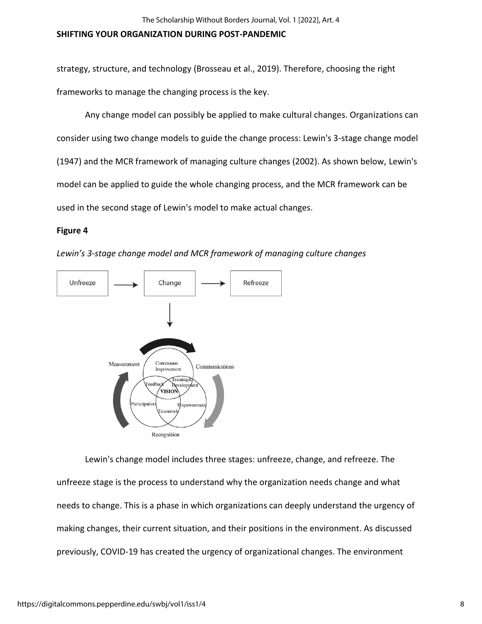strategy, structure, and technology (Brosseau et al., 2019). Therefore, choosing the right frameworks to manage the changing process is the key.

Any change model can possibly be applied to make cultural changes. Organizations can consider using two change models to guide the change process: Lewin's 3-stage change model (1947) and the MCR framework of managing culture changes (2002). As shown below, Lewin's model can be applied to guide the whole changing process, and the MCR framework can be used in the second stage of Lewin's model to make actual changes.

## **Figure 4**



*Lewin's 3-stage change model and MCR framework of managing culture changes*

Lewin's change model includes three stages: unfreeze, change, and refreeze. The unfreeze stage is the process to understand why the organization needs change and what needs to change. This is a phase in which organizations can deeply understand the urgency of making changes, their current situation, and their positions in the environment. As discussed previously, COVID-19 has created the urgency of organizational changes. The environment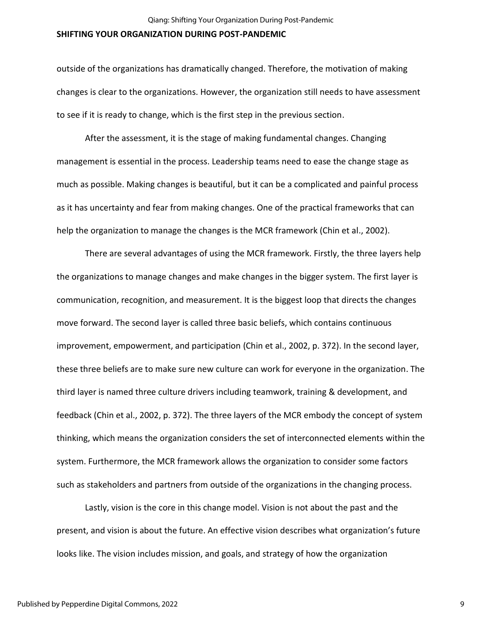outside of the organizations has dramatically changed. Therefore, the motivation of making changes is clear to the organizations. However, the organization still needs to have assessment to see if it is ready to change, which is the first step in the previous section.

After the assessment, it is the stage of making fundamental changes. Changing management is essential in the process. Leadership teams need to ease the change stage as much as possible. Making changes is beautiful, but it can be a complicated and painful process as it has uncertainty and fear from making changes. One of the practical frameworks that can help the organization to manage the changes is the MCR framework (Chin et al., 2002).

There are several advantages of using the MCR framework. Firstly, the three layers help the organizations to manage changes and make changes in the bigger system. The first layer is communication, recognition, and measurement. It is the biggest loop that directs the changes move forward. The second layer is called three basic beliefs, which contains continuous improvement, empowerment, and participation (Chin et al., 2002, p. 372). In the second layer, these three beliefs are to make sure new culture can work for everyone in the organization. The third layer is named three culture drivers including teamwork, training & development, and feedback (Chin et al., 2002, p. 372). The three layers of the MCR embody the concept of system thinking, which means the organization considers the set of interconnected elements within the system. Furthermore, the MCR framework allows the organization to consider some factors such as stakeholders and partners from outside of the organizations in the changing process.

Lastly, vision is the core in this change model. Vision is not about the past and the present, and vision is about the future. An effective vision describes what organization's future looks like. The vision includes mission, and goals, and strategy of how the organization

9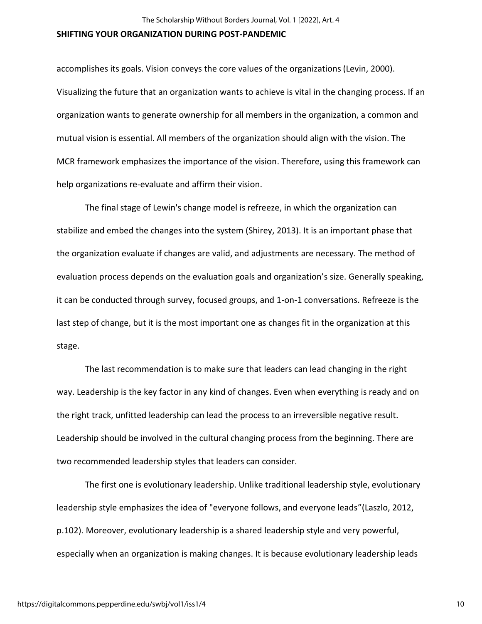accomplishes its goals. Vision conveys the core values of the organizations (Levin, 2000). Visualizing the future that an organization wants to achieve is vital in the changing process. If an organization wants to generate ownership for all members in the organization, a common and mutual vision is essential. All members of the organization should align with the vision. The MCR framework emphasizes the importance of the vision. Therefore, using this framework can help organizations re-evaluate and affirm their vision.

The final stage of Lewin's change model is refreeze, in which the organization can stabilize and embed the changes into the system (Shirey, 2013). It is an important phase that the organization evaluate if changes are valid, and adjustments are necessary. The method of evaluation process depends on the evaluation goals and organization's size. Generally speaking, it can be conducted through survey, focused groups, and 1-on-1 conversations. Refreeze is the last step of change, but it is the most important one as changes fit in the organization at this stage.

The last recommendation is to make sure that leaders can lead changing in the right way. Leadership is the key factor in any kind of changes. Even when everything is ready and on the right track, unfitted leadership can lead the process to an irreversible negative result. Leadership should be involved in the cultural changing process from the beginning. There are two recommended leadership styles that leaders can consider.

The first one is evolutionary leadership. Unlike traditional leadership style, evolutionary leadership style emphasizes the idea of "everyone follows, and everyone leads"(Laszlo, 2012, p.102). Moreover, evolutionary leadership is a shared leadership style and very powerful, especially when an organization is making changes. It is because evolutionary leadership leads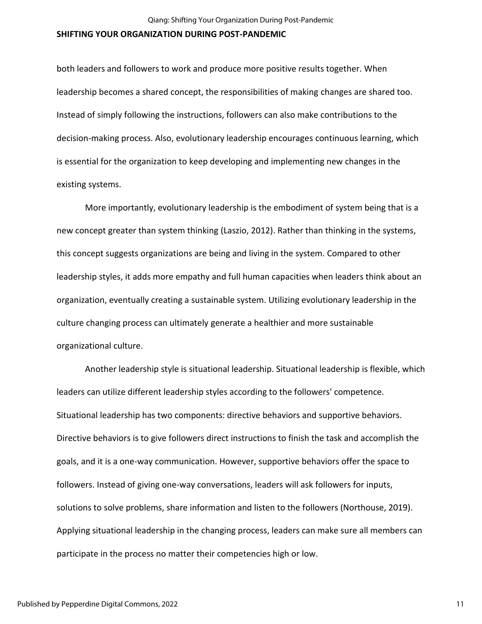both leaders and followers to work and produce more positive results together. When leadership becomes a shared concept, the responsibilities of making changes are shared too. Instead of simply following the instructions, followers can also make contributions to the decision-making process. Also, evolutionary leadership encourages continuous learning, which is essential for the organization to keep developing and implementing new changes in the existing systems.

More importantly, evolutionary leadership is the embodiment of system being that is a new concept greater than system thinking (Laszio, 2012). Rather than thinking in the systems, this concept suggests organizations are being and living in the system. Compared to other leadership styles, it adds more empathy and full human capacities when leaders think about an organization, eventually creating a sustainable system. Utilizing evolutionary leadership in the culture changing process can ultimately generate a healthier and more sustainable organizational culture.

Another leadership style is situational leadership. Situational leadership is flexible, which leaders can utilize different leadership styles according to the followers' competence. Situational leadership has two components: directive behaviors and supportive behaviors. Directive behaviors is to give followers direct instructions to finish the task and accomplish the goals, and it is a one-way communication. However, supportive behaviors offer the space to followers. Instead of giving one-way conversations, leaders will ask followers for inputs, solutions to solve problems, share information and listen to the followers (Northouse, 2019). Applying situational leadership in the changing process, leaders can make sure all members can participate in the process no matter their competencies high or low.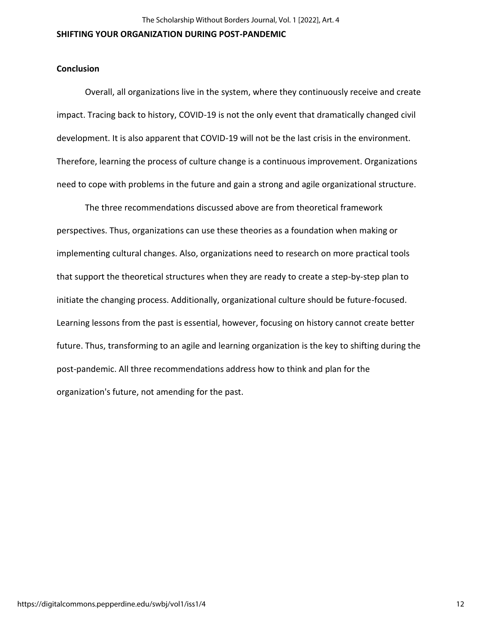#### **Conclusion**

Overall, all organizations live in the system, where they continuously receive and create impact. Tracing back to history, COVID-19 is not the only event that dramatically changed civil development. It is also apparent that COVID-19 will not be the last crisis in the environment. Therefore, learning the process of culture change is a continuous improvement. Organizations need to cope with problems in the future and gain a strong and agile organizational structure.

The three recommendations discussed above are from theoretical framework perspectives. Thus, organizations can use these theories as a foundation when making or implementing cultural changes. Also, organizations need to research on more practical tools that support the theoretical structures when they are ready to create a step-by-step plan to initiate the changing process. Additionally, organizational culture should be future-focused. Learning lessons from the past is essential, however, focusing on history cannot create better future. Thus, transforming to an agile and learning organization is the key to shifting during the post-pandemic. All three recommendations address how to think and plan for the organization's future, not amending for the past.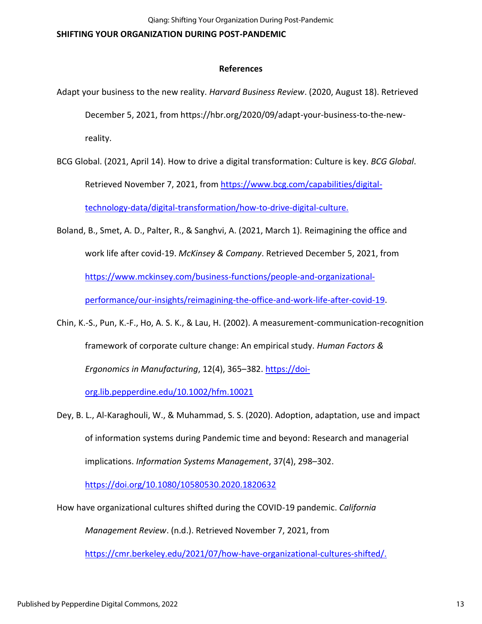# **References**

- Adapt your business to the new reality. *Harvard Business Review*. (2020, August 18). Retrieved December 5, 2021, from https://hbr.org/2020/09/adapt-your-business-to-the-newreality.
- BCG Global. (2021, April 14). How to drive a digital transformation: Culture is key. *BCG Global*. Retrieved November 7, 2021, from [https://www.bcg.com/capabilities/digital](https://www.bcg.com/capabilities/digital-technology-data/digital-transformation/how-to-drive-digital-culture.)[technology-data/digital-transformation/how-to-drive-digital-culture.](https://www.bcg.com/capabilities/digital-technology-data/digital-transformation/how-to-drive-digital-culture.)
- Boland, B., Smet, A. D., Palter, R., & Sanghvi, A. (2021, March 1). Reimagining the office and work life after covid-19. *McKinsey & Company*. Retrieved December 5, 2021, from [https://www.mckinsey.com/business-functions/people-and-organizational](https://www.mckinsey.com/business-functions/people-and-organizational-performance/our-insights/reimagining-the-office-and-work-life-after-covid-19)[performance/our-insights/reimagining-the-office-and-work-life-after-covid-19.](https://www.mckinsey.com/business-functions/people-and-organizational-performance/our-insights/reimagining-the-office-and-work-life-after-covid-19)
- Chin, K.-S., Pun, K.-F., Ho, A. S. K., & Lau, H. (2002). A measurement-communication-recognition framework of corporate culture change: An empirical study. *Human Factors & Ergonomics in Manufacturing*, 12(4), 365–382. [https://doi-](https://doi-org.lib.pepperdine.edu/10.1002/hfm.10021)

[org.lib.pepperdine.edu/10.1002/hfm.10021](https://doi-org.lib.pepperdine.edu/10.1002/hfm.10021)

Dey, B. L., Al-Karaghouli, W., & Muhammad, S. S. (2020). Adoption, adaptation, use and impact of information systems during Pandemic time and beyond: Research and managerial implications. *Information Systems Management*, 37(4), 298–302.

<https://doi.org/10.1080/10580530.2020.1820632>

How have organizational cultures shifted during the COVID-19 pandemic. *California*

*Management Review*. (n.d.). Retrieved November 7, 2021, from

[https://cmr.berkeley.edu/2021/07/how-have-organizational-cultures-shifted/.](https://cmr.berkeley.edu/2021/07/how-have-organizational-cultures-shifted/)